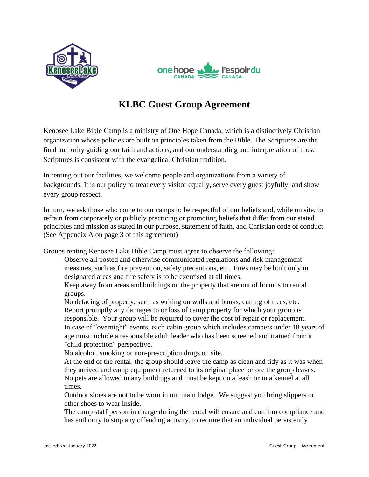



# **KLBC Guest Group Agreement**

Kenosee Lake Bible Camp is a ministry of One Hope Canada, which is a distinctively Christian organization whose policies are built on principles taken from the Bible. The Scriptures are the final authority guiding our faith and actions, and our understanding and interpretation of those Scriptures is consistent with the evangelical Christian tradition.

In renting out our facilities, we welcome people and organizations from a variety of backgrounds. It is our policy to treat every visitor equally, serve every guest joyfully, and show every group respect.

In turn, we ask those who come to our camps to be respectful of our beliefs and, while on site, to refrain from corporately or publicly practicing or promoting beliefs that differ from our stated principles and mission as stated in our purpose, statement of faith, and Christian code of conduct. (See Appendix A on page 3 of this agreement)

Groups renting Kenosee Lake Bible Camp must agree to observe the following:

- Observe all posted and otherwise communicated regulations and risk management measures, such as fire prevention, safety precautions, etc. Fires may be built only in designated areas and fire safety is to be exercised at all times.
- Keep away from areas and buildings on the property that are out of bounds to rental groups.

No defacing of property, such as writing on walls and bunks, cutting of trees, etc. Report promptly any damages to or loss of camp property for which your group is responsible. Your group will be required to cover the cost of repair or replacement. In case of "overnight" events, each cabin group which includes campers under 18 years of age must include a responsible adult leader who has been screened and trained from a "child protection" perspective.

No alcohol, smoking or non-prescription drugs on site.

At the end of the rental, the group should leave the camp as clean and tidy as it was when they arrived and camp equipment returned to its original place before the group leaves. No pets are allowed in any buildings and must be kept on a leash or in a kennel at all times.

Outdoor shoes are not to be worn in our main lodge. We suggest you bring slippers or other shoes to wear inside.

The camp staff person in charge during the rental will ensure and confirm compliance and has authority to stop any offending activity, to require that an individual persistently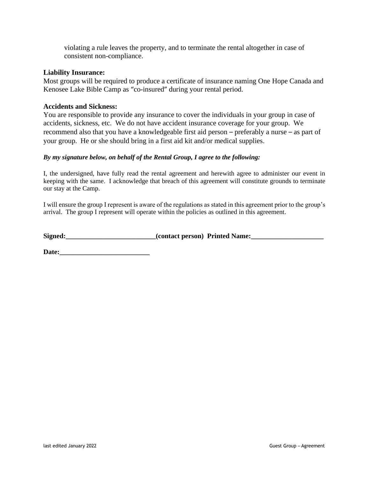violating a rule leaves the property, and to terminate the rental altogether in case of consistent non-compliance.

# **Liability Insurance:**

Most groups will be required to produce a certificate of insurance naming One Hope Canada and Kenosee Lake Bible Camp as "co-insured" during your rental period.

# **Accidents and Sickness:**

You are responsible to provide any insurance to cover the individuals in your group in case of accidents, sickness, etc. We do not have accident insurance coverage for your group. We recommend also that you have a knowledgeable first aid person – preferably a nurse – as part of your group. He or she should bring in a first aid kit and/or medical supplies.

# *By my signature below, on behalf of the Rental Group, I agree to the following:*

I, the undersigned, have fully read the rental agreement and herewith agree to administer our event in keeping with the same. I acknowledge that breach of this agreement will constitute grounds to terminate our stay at the Camp.

I will ensure the group I represent is aware of the regulations as stated in this agreement prior to the group's arrival. The group I represent will operate within the policies as outlined in this agreement.

Signed:\_\_\_\_\_\_\_\_\_\_\_\_\_\_\_\_\_\_\_\_\_\_\_\_\_(contact person) Printed Name:\_\_\_\_\_\_\_\_\_\_\_\_\_\_\_\_\_\_\_\_

**Date:**